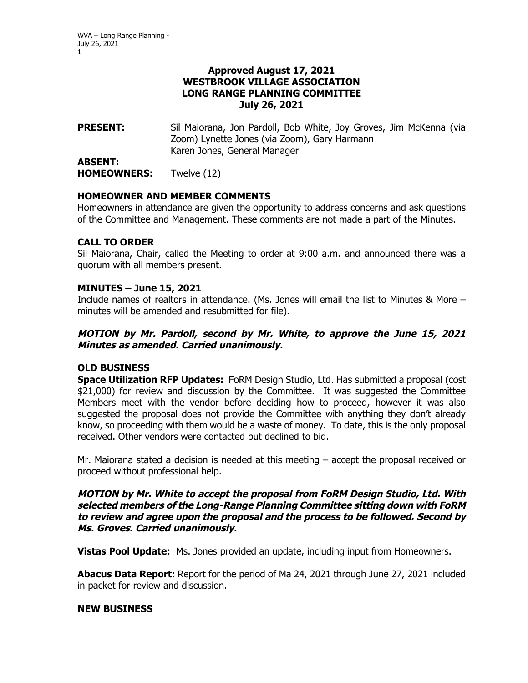### **Approved August 17, 2021 WESTBROOK VILLAGE ASSOCIATION LONG RANGE PLANNING COMMITTEE July 26, 2021**

**PRESENT:** Sil Maiorana, Jon Pardoll, Bob White, Joy Groves, Jim McKenna (via Zoom) Lynette Jones (via Zoom), Gary Harmann Karen Jones, General Manager

**ABSENT: HOMEOWNERS:** Twelve (12)

## **HOMEOWNER AND MEMBER COMMENTS**

Homeowners in attendance are given the opportunity to address concerns and ask questions of the Committee and Management. These comments are not made a part of the Minutes.

## **CALL TO ORDER**

Sil Maiorana, Chair, called the Meeting to order at 9:00 a.m. and announced there was a quorum with all members present.

## **MINUTES – June 15, 2021**

Include names of realtors in attendance. (Ms. Jones will email the list to Minutes & More – minutes will be amended and resubmitted for file).

## **MOTION by Mr. Pardoll, second by Mr. White, to approve the June 15, 2021 Minutes as amended. Carried unanimously.**

# **OLD BUSINESS**

**Space Utilization RFP Updates:** FoRM Design Studio, Ltd. Has submitted a proposal (cost \$21,000) for review and discussion by the Committee. It was suggested the Committee Members meet with the vendor before deciding how to proceed, however it was also suggested the proposal does not provide the Committee with anything they don't already know, so proceeding with them would be a waste of money. To date, this is the only proposal received. Other vendors were contacted but declined to bid.

Mr. Maiorana stated a decision is needed at this meeting – accept the proposal received or proceed without professional help.

### **MOTION by Mr. White to accept the proposal from FoRM Design Studio, Ltd. With selected members of the Long-Range Planning Committee sitting down with FoRM to review and agree upon the proposal and the process to be followed. Second by Ms. Groves. Carried unanimously.**

**Vistas Pool Update:** Ms. Jones provided an update, including input from Homeowners.

**Abacus Data Report:** Report for the period of Ma 24, 2021 through June 27, 2021 included in packet for review and discussion.

## **NEW BUSINESS**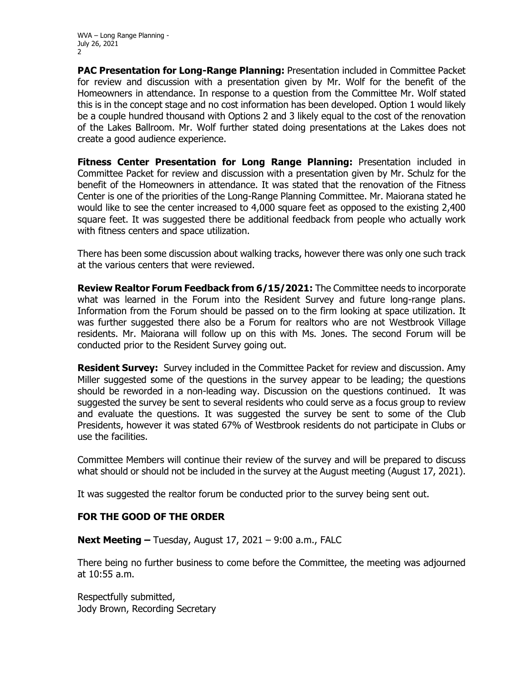WVA – Long Range Planning - July 26, 2021  $\mathcal{L}$ 

**PAC Presentation for Long-Range Planning:** Presentation included in Committee Packet for review and discussion with a presentation given by Mr. Wolf for the benefit of the Homeowners in attendance. In response to a question from the Committee Mr. Wolf stated this is in the concept stage and no cost information has been developed. Option 1 would likely be a couple hundred thousand with Options 2 and 3 likely equal to the cost of the renovation of the Lakes Ballroom. Mr. Wolf further stated doing presentations at the Lakes does not create a good audience experience.

**Fitness Center Presentation for Long Range Planning:** Presentation included in Committee Packet for review and discussion with a presentation given by Mr. Schulz for the benefit of the Homeowners in attendance. It was stated that the renovation of the Fitness Center is one of the priorities of the Long-Range Planning Committee. Mr. Maiorana stated he would like to see the center increased to 4,000 square feet as opposed to the existing 2,400 square feet. It was suggested there be additional feedback from people who actually work with fitness centers and space utilization.

There has been some discussion about walking tracks, however there was only one such track at the various centers that were reviewed.

**Review Realtor Forum Feedback from 6/15/2021:** The Committee needs to incorporate what was learned in the Forum into the Resident Survey and future long-range plans. Information from the Forum should be passed on to the firm looking at space utilization. It was further suggested there also be a Forum for realtors who are not Westbrook Village residents. Mr. Maiorana will follow up on this with Ms. Jones. The second Forum will be conducted prior to the Resident Survey going out.

**Resident Survey:** Survey included in the Committee Packet for review and discussion. Amy Miller suggested some of the questions in the survey appear to be leading; the questions should be reworded in a non-leading way. Discussion on the questions continued. It was suggested the survey be sent to several residents who could serve as a focus group to review and evaluate the questions. It was suggested the survey be sent to some of the Club Presidents, however it was stated 67% of Westbrook residents do not participate in Clubs or use the facilities.

Committee Members will continue their review of the survey and will be prepared to discuss what should or should not be included in the survey at the August meeting (August 17, 2021).

It was suggested the realtor forum be conducted prior to the survey being sent out.

#### **FOR THE GOOD OF THE ORDER**

**Next Meeting –** Tuesday, August 17, 2021 – 9:00 a.m., FALC

There being no further business to come before the Committee, the meeting was adjourned at 10:55 a.m.

Respectfully submitted, Jody Brown, Recording Secretary